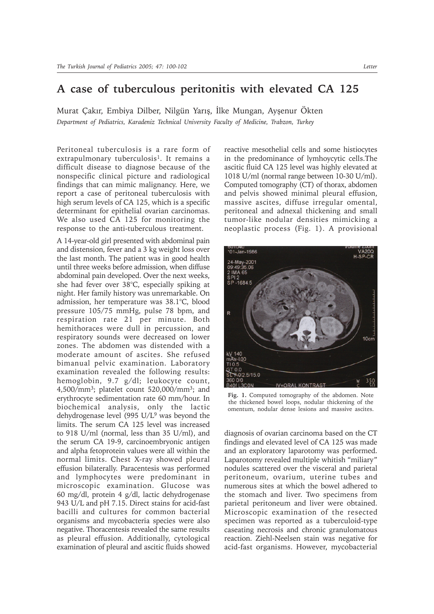## **A case of tuberculous peritonitis with elevated CA 125**

Murat Çakır, Embiya Dilber, Nilgün Yarış, İlke Mungan, Ayşenur Ökten *Department of Pediatrics, Karadeniz Technical University Faculty of Medicine, Trabzon, Turkey*

Peritoneal tuberculosis is a rare form of extrapulmonary tuberculosis<sup>1</sup>. It remains a difficult disease to diagnose because of the nonspecific clinical picture and radiological findings that can mimic malignancy. Here, we report a case of peritoneal tuberculosis with high serum levels of CA 125, which is a specific determinant for epithelial ovarian carcinomas. We also used CA 125 for monitoring the response to the anti-tuberculous treatment.

A 14-year-old girl presented with abdominal pain and distension, fever and a 3 kg weight loss over the last month. The patient was in good health until three weeks before admission, when diffuse abdominal pain developed. Over the next weeks, she had fever over 38°C, especially spiking at night. Her family history was unremarkable. On admission, her temperature was 38.1°C, blood pressure 105/75 mmHg, pulse 78 bpm, and respiration rate 21 per minute. Both hemithoraces were dull in percussion, and respiratory sounds were decreased on lower zones. The abdomen was distended with a moderate amount of ascites. She refused bimanual pelvic examination. Laboratory examination revealed the following results: hemoglobin, 9.7 g/dl; leukocyte count, 4,500/mm3; platelet count 520,000/mm3; and erythrocyte sedimentation rate 60 mm/hour. In biochemical analysis, only the lactic dehydrogenase level (995 U/L9 was beyond the limits. The serum CA 125 level was increased to 918 U/ml (normal, less than 35 U/ml), and the serum CA 19-9, carcinoembryonic antigen and alpha fetoprotein values were all within the normal limits. Chest X-ray showed pleural effusion bilaterally. Paracentesis was performed and lymphocytes were predominant in microscopic examination. Glucose was 60 mg/dl, protein 4 g/dl, lactic dehydrogenase 943 U/L and pH 7.15. Direct stains for acid-fast bacilli and cultures for common bacterial organisms and mycobacteria species were also negative. Thoracentesis revealed the same results as pleural effusion. Additionally, cytological examination of pleural and ascitic fluids showed

reactive mesothelial cells and some histiocytes in the predominance of lymhoycytic cells.The ascitic fluid CA 125 level was highly elevated at 1018 U/ml (normal range between 10-30 U/ml). Computed tomography (CT) of thorax, abdomen and pelvis showed minimal pleural effusion, massive ascites, diffuse irregular omental, peritoneal and adnexal thickening and small tumor-like nodular densities mimicking a neoplastic process (Fig. 1). A provisional



**Fig. 1.** Computed tomography of the abdomen. Note the thickened bowel loops, nodular thickening of the omentum, nodular dense lesions and massive ascites.

diagnosis of ovarian carcinoma based on the CT findings and elevated level of CA 125 was made and an exploratory laparotomy was performed. Laparotomy revealed multiple whitish "miliary" nodules scattered over the visceral and parietal peritoneum, ovarium, uterine tubes and numerous sites at which the bowel adhered to the stomach and liver. Two specimens from parietal peritoneum and liver were obtained. Microscopic examination of the resected specimen was reported as a tuberculoid-type caseating necrosis and chronic granulomatous reaction. Ziehl-Neelsen stain was negative for acid-fast organisms. However, mycobacterial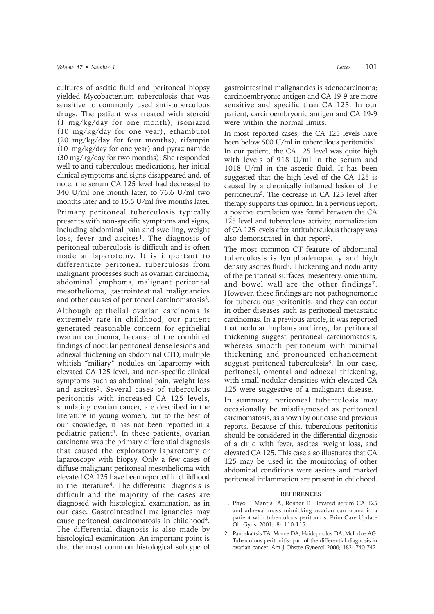cultures of ascitic fluid and peritoneal biopsy yielded Mycobacterium tuberculosis that was sensitive to commonly used anti-tuberculous drugs. The patient was treated with steroid (1 mg/kg/day for one month), isoniazid (10 mg/kg/day for one year), ethambutol (20 mg/kg/day for four months), rifampin (10 mg/kg/day for one year) and pyrazinamide (30 mg/kg/day for two months). She responded well to anti-tuberculous medications, her initial clinical symptoms and signs disappeared and, of note, the serum CA 125 level had decreased to 340 U/ml one month later, to 76.6 U/ml two months later and to 15.5 U/ml five months later.

Primary peritoneal tuberculosis typically presents with non-specific symptoms and signs, including abdominal pain and swelling, weight loss, fever and ascites<sup>1</sup>. The diagnosis of peritoneal tuberculosis is difficult and is often made at laparotomy. It is important to differentiate peritoneal tuberculosis from malignant processes such as ovarian carcinoma, abdominal lymphoma, malignant peritoneal mesothelioma, gastrointestinal malignancies and other causes of peritoneal carcinomatosis2.

Although epithelial ovarian carcinoma is extremely rare in childhood, our patient generated reasonable concern for epithelial ovarian carcinoma, because of the combined findings of nodular peritoneal dense lesions and adnexal thickening on abdominal CTD, multiple whitish "miliary" nodules on lapartomy with elevated CA 125 level, and non-specific clinical symptoms such as abdominal pain, weight loss and ascites<sup>3</sup>. Several cases of tuberculous peritonitis with increased CA 125 levels, simulating ovarian cancer, are described in the literature in young women, but to the best of our knowledge, it has not been reported in a pediatric patient<sup>1</sup>. In these patients, ovarian carcinoma was the primary differential diagnosis that caused the exploratory laparotomy or laparoscopy with biopsy. Only a few cases of diffuse malignant peritoneal mesothelioma with elevated CA 125 have been reported in childhood in the literature4. The differential diagnosis is difficult and the majority of the cases are diagnosed with histological examination, as in our case. Gastrointestinal malignancies may cause peritoneal carcinomatosis in childhood4. The differential diagnosis is also made by histological examination. An important point is that the most common histological subtype of gastrointestinal malignancies is adenocarcinoma; carcinoembryonic antigen and CA 19-9 are more sensitive and specific than CA 125. In our patient, carcinoembryonic antigen and CA 19-9 were within the normal limits.

In most reported cases, the CA 125 levels have been below 500 U/ml in tuberculous peritonitis<sup>1</sup>. In our patient, the CA 125 level was quite high with levels of 918 U/ml in the serum and 1018 U/ml in the ascetic fluid. It has been suggested that the high level of the CA 125 is caused by a chronically inflamed lesion of the peritoneum5. The decrease in CA 125 level after therapy supports this opinion. In a pervious report, a positive correlation was found between the CA 125 level and tuberculous activity; normalization of CA 125 levels after antituberculous therapy was also demonstrated in that report<sup>6</sup>.

The most common CT feature of abdominal tuberculosis is lymphadenopathy and high density ascites fluid<sup>7</sup>. Thickening and nodularity of the peritoneal surfaces, mesentery, omentum, and bowel wall are the other findings<sup>7</sup>. However, these findings are not pathognomonic for tuberculous peritonitis, and they can occur in other diseases such as peritoneal metastatic carcinomas. In a previous article, it was reported that nodular implants and irregular peritoneal thickening suggest peritoneal carcinomatosis, whereas smooth peritoneum with minimal thickening and pronounced enhancement suggest peritoneal tuberculosis<sup>8</sup>. In our case, peritoneal, omental and adnexal thickening, with small nodular densities with elevated CA 125 were suggestive of a malignant disease.

In summary, peritoneal tuberculosis may occasionally be misdiagnosed as peritoneal carcinomatosis, as shown by our case and previous reports. Because of this, tuberculous peritonitis should be considered in the differential diagnosis of a child with fever, ascites, weight loss, and elevated CA 125. This case also illustrates that CA 125 may be used in the monitoring of other abdominal conditions were ascites and marked peritoneal inflammation are present in childhood.

## **REFERENCES**

- 1. Phyo P, Mantis JA, Rosner F. Elevated serum CA 125 and adnexal mass mimicking ovarian carcinoma in a patient with tuberculous peritonitis. Prim Care Update Ob Gyns 2001; 8: 110-115.
- 2. Panoskaltsis TA, Moore DA, Haidopoulos DA, McIndoe AG. Tuberculous peritonitis: part of the differential diagnosis in ovarian cancer. Am J Obstte Gynecol 2000; 182: 740-742.